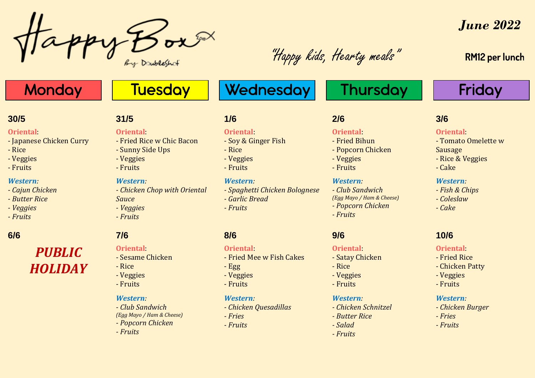By Doubleshot

"Happy kids, Hearty meals"

*June 2022*

## **RM12 per lunch**

**Friday** 

# **Monday**

### **30/5 31/5 1/6 2/6 3/6**

#### **Oriental**:

- Japanese Chicken Curry
- Rice
- Veggies
- Fruits

### *Western:*

- *- Cajun Chicken*
- *- Butter Rice*
- *- Veggies*
- *- Fruits*

# *PUBLIC HOLIDAY*

### **Oriental**:

- Fried Rice w Chic Bacon

**Tuesday** 

- Sunny Side Ups
- Veggies
- Fruits

#### *Western:*

- *- Chicken Chop with Oriental Sauce*
- *- Veggies*
- *- Fruits*

### **Oriental**:

- Sesame Chicken
- Rice
- Veggies
- Fruits

#### *Western:*

*- Club Sandwich (Egg Mayo / Ham & Cheese) - Popcorn Chicken - Fruits*

### **Oriental**:

- Soy & Ginger Fish

Wednesday

- Rice
- Veggies
- Fruits

#### *Western:*

- *- Spaghetti Chicken Bolognese*
- *- Garlic Bread*
- *- Fruits*

#### **Oriental**:

#### - Fried Mee w Fish Cakes

- Egg
- Veggies
- Fruits

#### *Western:*

- *- Chicken Quesadillas*
- *- Fries*
- *- Fruits*

# **Thursday**

### **Oriental**:

- Tomato Omelette w
- Sausage
- Rice & Veggies
- Cake

#### *Western:*

- *- Fish & Chips*
- *- Coleslaw*
- *- Cake*

## **6/6 7/6 8/6 9/6 10/6**

#### **Oriental**:

- Fried Rice
- Chicken Patty
- Veggies
- Fruits

#### *Western:*

- *- Chicken Burger*
- *- Fries*
- *- Fruits*
- 
- -

### *Western:*

**Oriental**:

- Rice - Veggies - Fruits

- Satay Chicken

- *- Chicken Schnitzel*
- *- Butter Rice*
- *- Salad*
- *- Fruits*
- 
- **Oriental**:

## - Fried Bihun

- Popcorn Chicken
- Veggies
- Fruits

### *Western:*

*- Club Sandwich (Egg Mayo / Ham & Cheese) - Popcorn Chicken - Fruits*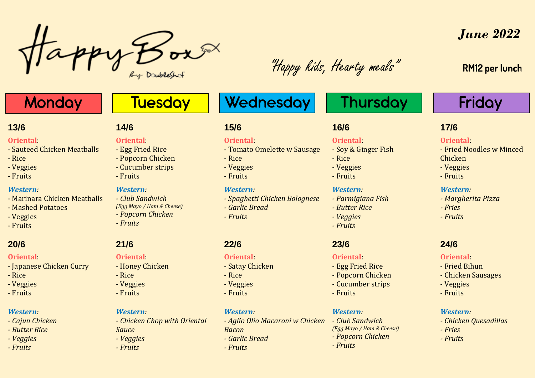By Doubleshot

"Happy kids, Hearty meals"

# *June 2022*

## **RM12 per lunch**

# **Monday**

- Sauteed Chicken Meatballs

- Marinara Chicken Meatballs

- Japanese Chicken Curry

**Oriental**:

*Western:*

- Veggies - Fruits

**Oriental**:

*Western: - Cajun Chicken - Butter Rice - Veggies - Fruits*

- Rice - Veggies - Fruits

- Mashed Potatoes

- Rice - Veggies - Fruits

# **Tuesday**

# Wednesday

## **13/6 14/6 15/6 16/6 17/6**

### **Oriental**:

- Soy & Ginger Fish

**Thursday** 

- Rice
- Veggies
- Fruits

### *Western:*

- *- Parmigiana Fish*
- *- Butter Rice*
- *- Veggies*
- *- Fruits*

### **Oriental**:

- Egg Fried Rice
- Popcorn Chicken
- Cucumber strips
- Fruits

#### *Western:*

*- Club Sandwich (Egg Mayo / Ham & Cheese) - Popcorn Chicken - Fruits*

# Friday

### **Oriental**:

- Fried Noodles w Minced
- Chicken
- Veggies
- Fruits

### *Western:*

- *- Margherita Pizza*
- *- Fries*
- *- Fruits*

#### **Oriental**:

- Fried Bihun
- Chicken Sausages
- Veggies
- Fruits

### *Western:*

- *- Chicken Quesadillas*
- *- Fries*
- *- Fruits*

### **Oriental**:

- Egg Fried Rice
- Popcorn Chicken - Cucumber strips - Fruits

### *Western:*

- *- Club Sandwich (Egg Mayo / Ham & Cheese) - Popcorn Chicken*
- 

### **Oriental**:

- Honey Chicken
- Rice
- Veggies
- Fruits

#### *Western:*

- *Sauce - Veggies*
	-

### *- Fruits*

- 
- *- Fruits*

- 
- 
- 
- 

*- Chicken Chop with Oriental* 

- **20/6 21/6 22/6 23/6 24/6**
	-
	-
	-
	-
	-

- 
- 
- 
- **Oriental**: - Tomato Omelette w Sausage - Rice
- Veggies
- Fruits

*- Fruits*

**Oriental**: - Satay Chicken

*Western:*

*- Garlic Bread*

*Bacon*

*- Fruits*

- Rice - Veggies - Fruits

## *Western:*

*- Garlic Bread*

*- Spaghetti Chicken Bolognese*

*- Aglio Olio Macaroni w Chicken*